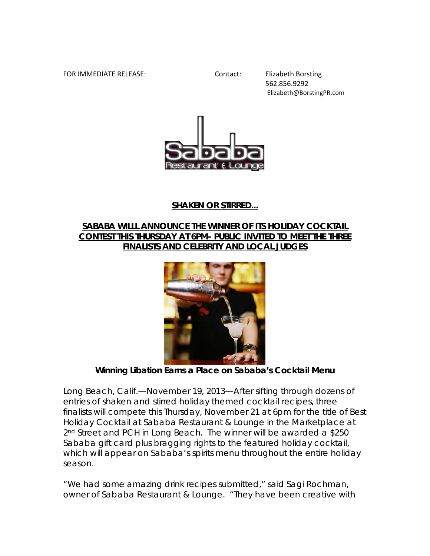## FOR IMMEDIATE RELEASE: Contact: Elizabeth Borsting

562.856.9292 Elizabeth@BorstingPR.com



## **SHAKEN OR STIRRED...**

## **SABABA WILLL ANNOUNCE THE WINNER OF ITS HOLIDAY COCKTAIL CONTEST THIS THURSDAY AT 6PM- PUBLIC INVITED TO MEET THE THREE FINALISTS AND CELEBRITY AND LOCAL JUDGES**



*Winning Libation Earns a Place on Sababa's Cocktail Menu*

Long Beach, Calif.—November 19, 2013—After sifting through dozens of entries of shaken and stirred holiday themed cocktail recipes, three finalists will compete this Thursday, November 21 at 6pm for the title of Best Holiday Cocktail at Sababa Restaurant & Lounge in the Marketplace at 2<sup>nd</sup> Street and PCH in Long Beach. The winner will be awarded a \$250 Sababa gift card plus bragging rights to the featured holiday cocktail, which will appear on Sababa's spirits menu throughout the entire holiday season.

"We had some amazing drink recipes submitted," said Sagi Rochman, owner of Sababa Restaurant & Lounge. "They have been creative with